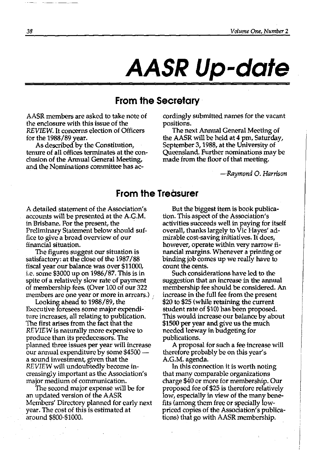# **AASR Up-date**

## **From the Secretary**

AASR members are asked to take note of the enclosure with this issue of the REVIEW. It concerns election of Officers for the 1988/89 year.

As described by the Constitution, tenure of all offices terminates at the conclusion of the Annual General Meeting, and the Nominations committee has accordingly submitted names for the vacant positions.

The next Annual General Meeting of the AASR will be held at 4 pm, Saturday, September 3, 1988, at the University of Queensland. Further nominations may be made from the floor of that meeting.

*-Raymond* O. *Harrison* 

#### **From the Treasurer**

A detailed statement of the Association's accounts will be presented at the A.G.M. in Brisbane. For the present, the Preliminary Statement below should suffice to give a broad overview of our financial situation.

The figures suggest our situation is satisfactory: at the close of the 1987/88 fiscal year our balance was over \$11000, i.e. some \$3000 up on 1986/87. This is in spite of a relatively slow rate of payment of membership fees. (Over 100 of our 322 members are one year or more in arrears.)  $\beta$ 

Looking ahead to 1988/89, the Executive foresees some major expenditure increases, all relating to publication. The first arises from the fact that the REVIEW is naturally more expensive to produce than its predecessors. The planned three issues per year will increase our annual expenditure by some \$4500 a sound investment, given that the REVIEW will undoubtedly become increasingly important as the Association's major medium of communication.

The second major expense will be for an updated version of the AASR Members' Directory planned for early next year. The cost of this is estimated at around \$800-\$1000.

But the biggest item is book publication. This aspect of the Association's activities succeeds well in paying for itself overall, thanks largely to Vic Hayes' admirable cost-saving initiatives. It does, however, operate within very narrow financial margins. Whenever a printing or binding job comes up we really have to count the cents.

Such considerations have led to the suggestion that an increase in the annual membership fee should be considered. An increase in the full fee from the present \$20 to \$25 (while retaining the current student rate of \$10) has been proposed. This would increase our balance by about \$1500 per year and give us the much needed leeway in budgeting for publications.

A proposal for such a fee increase will therefore probably be on this year's A.G.M. agenda.

In this connection it is worth noting that many comparable organizations charge \$40 or more for membership. Our proposed fee of \$25 is therefore relatively low, especially in view of the many benefits (among them free or specially lowpriced copies of the Association's publications) that go with AASR membership.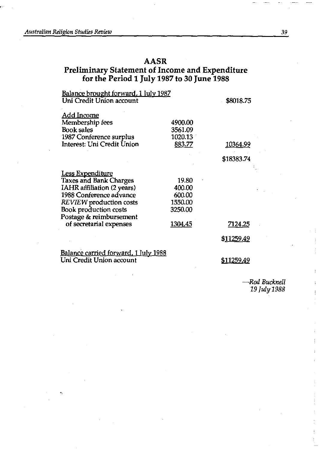### **AASR**

#### **Preliminary Statement of Income and Expenditure for the Period 1 July 1987 to 30 June 1988**

| <u>Balance brought forward, 1 July 1987</u> |         |            |
|---------------------------------------------|---------|------------|
| Uni Credit Union account                    |         | \$8018.75  |
| <u>Add Income</u>                           |         |            |
| Membership fees                             | 4900.00 |            |
| <b>Book sales</b>                           | 3561.09 |            |
| 1987 Conference surplus                     | 1020.13 |            |
| Interest: Uni Credit Union                  | 883.77  | 10364.99   |
|                                             |         | \$18383.74 |
| <b>Less Expenditure</b>                     |         |            |
| <b>Taxes and Bank Charges</b>               | 19.80   |            |
| IAHR affiliation (2 years)                  | 400.00  |            |
| 1988 Conference advance                     | 600.00  |            |
| <b>REVIEW</b> production costs              | 1550.00 |            |
| <b>Book production costs</b>                | 3250.00 |            |
| Postage & reimbursement                     |         |            |
| of secretarial expenses                     | 1304.45 | 7124.25    |
|                                             |         | \$11259.49 |

<u>Balance carried forward, 1 July 1988</u> Uni Credit Union account

\$11259.49

*-Rod Bucknell*  19 *July* 1988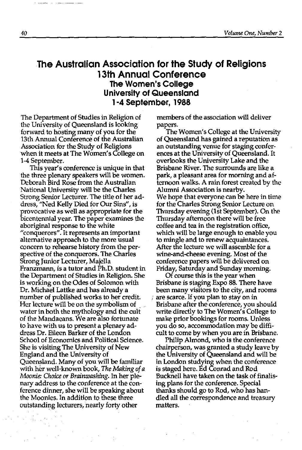#### **The Australian Association for the Study of Religions 13th Annual Conference The Women's College University of Queensland 1-4 September, 1988**

The Department of Studies in Religion of the University of Queensland is looking forward to hosting many of you for the 13th Annual Conference of the Australian Association for the Study of Religions when it meets at The Women's College on 1-4 September.

This year's conference is unique in that the three plenary speakers will be women. Deborah Bird Rose from the Australian National University wi1l be the Charles Strong Senior Lecturer. The title of her address, "Ned Kelly Died for Our Sins", is provocative as well as appropriate for the bicentennial year. The paper examines the aboriginal response to the white "conquerors". It represents an important alternative approach to the more usual concern to rehearse history from the perspective of the conquerors. The Charles Strong Junior Lecturer, Majella Franzmann, is a tutor and Ph.D. student in the Department of Studies in Religion. She is working on the Odes of Solomon with Dr. Michael Lattke and has already a number of published works to her credit. Her lecture will be on the symbolism of \_ water in both the mythology and the cult of the Mandaeans. We are also fortunate to have with us to present a plenary address Dr. Eileen Barker of the London School of Economics and Political Science. She is visiting The University of New England and the University of Queensland. Many of you will be familiar with her well-known book, *The Making of a Moonie: Choice or Brainwashing.* In her plenary address to the conference at the conference dinner, she will be speaking about the Moonies. In addition to these three outstanding lecturers, nearly forty other

members of the association will deliver papers.

The Women's College at the University of Queensland has gained a reputation as an outstanding venue for staging conferences at the University of Queensland. It overlooks the University Lake and the Brisbane River. The surrounds are like a park, a pleasant area for morning and afternoon walks. A rain forest created by the Alumni Association is nearby. We hope that everyone can be here in time for the Charles Strong Senior Lecture on Thursday evening (lst September). On the Thursday afternoon there will be free coffee and tea in the registration office, which will be large enough to enable you to mingle and to renew acquaintances. After the lecture we will assemble for a wine-and-cheese evening. Most of the conference papers will be delivered on Friday, Saturday and Sunday morning.

Of course this is the year when Brisbane is staging Expo 88. There have been many visitors to the city, and rooms ; are scarce. If you plan to stay on in Brisbane after the conference, you should write directly to The Women's College to make prior bookings for rooms. Unless you do so, accommodation may be difficult to come by when you are in Brisbane.

Philip Almond, who is the conference chairperson, was granted a study leave by the University of Queensland and will be in London studying when the conference is staged here. Ed Conrad and Rod Bucknell have taken on the task of finalising plans for the conference. Special thanks should go to Rod, who has handled all the correspondence and treasury matters.